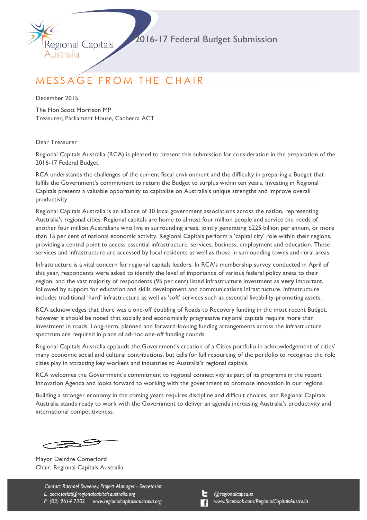

# MESSAGE FROM THE CHAIR

December 2015

Australia

The Hon Scott Morrison MP Treasurer, Parliament House, Canberra ACT

Regional Capitals

Dear Treasurer

Regional Capitals Australia (RCA) is pleased to present this submission for consideration in the preparation of the 2016-17 Federal Budget.

RCA understands the challenges of the current fiscal environment and the difficulty in preparing a Budget that fulfils the Government's commitment to return the Budget to surplus within ten years. Investing in Regional Capitals presents a valuable opportunity to capitalise on Australia's unique strengths and improve overall productivity.

Regional Capitals Australia is an alliance of 30 local government associations across the nation, representing Australia's regional cities. Regional capitals are home to almost four million people and service the needs of another four million Australians who live in surrounding areas, jointly generating \$225 billion per annum, or more than 15 per cent of national economic activity. Regional Capitals perform a 'capital city' role within their regions, providing a central point to access essential infrastructure, services, business, employment and education. These services and infrastructure are accessed by local residents as well as those in surrounding towns and rural areas.

Infrastructure is a vital concern for regional capitals leaders. In RCA's membership survey conducted in April of this year, respondents were asked to identify the level of importance of various federal policy areas to their region, and the vast majority of respondents (95 per cent) listed infrastructure investment as **very** important, followed by support for education and skills development and communications infrastructure. Infrastructure includes traditional 'hard' infrastructure as well as 'soft' services such as essential liveability-promoting assets.

RCA acknowledges that there was a one-off doubling of Roads to Recovery funding in the most recent Budget, however it should be noted that socially and economically progressive regional capitals require more than investment in roads. Long-term, planned and forward-looking funding arrangements across the infrastructure spectrum are required in place of ad-hoc one-off funding rounds.

Regional Capitals Australia applauds the Government's creation of a Cities portfolio in acknowledgement of cities' many economic social and cultural contributions, but calls for full resourcing of the portfolio to recognise the role cities play in attracting key workers and industries to Australia's regional capitals.

RCA welcomes the Government's commitment to regional connectivity as part of its programs in the recent Innovation Agenda and looks forward to working with the government to promote innovation in our regions.

Building a stronger economy in the coming years requires discipline and difficult choices, and Regional Capitals Australia stands ready to work with the Government to deliver an agenda increasing Australia's productivity and international competitiveness.

2.S

Mayor Deirdre Comerford Chair, Regional Capitals Australia

Contact Rachael Sweeney, Project Manager - Secretariat E secretariat@regionalcapitalsaustralia.org P (03) 9614 7302 www.regionalcapitalsaustralia.org

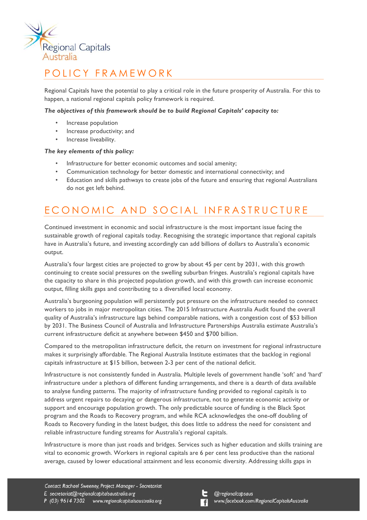

## POLICY FRAMEWORK

Regional Capitals have the potential to play a critical role in the future prosperity of Australia. For this to happen, a national regional capitals policy framework is required.

### *The objectives of this framework should be to build Regional Capitals' capacity to:*

- Increase population
- Increase productivity; and
- Increase liveability.

### *The key elements of this policy:*

- Infrastructure for better economic outcomes and social amenity;
- Communication technology for better domestic and international connectivity; and
- Education and skills pathways to create jobs of the future and ensuring that regional Australians do not get left behind.

## ECONOMIC AND SOCIAL INFRASTRUCTURE

Continued investment in economic and social infrastructure is the most important issue facing the sustainable growth of regional capitals today. Recognising the strategic importance that regional capitals have in Australia's future, and investing accordingly can add billions of dollars to Australia's economic output.

Australia's four largest cities are projected to grow by about 45 per cent by 2031, with this growth continuing to create social pressures on the swelling suburban fringes. Australia's regional capitals have the capacity to share in this projected population growth, and with this growth can increase economic output, filling skills gaps and contributing to a diversified local economy.

Australia's burgeoning population will persistently put pressure on the infrastructure needed to connect workers to jobs in major metropolitan cities. The 2015 Infrastructure Australia Audit found the overall quality of Australia's infrastructure lags behind comparable nations, with a congestion cost of \$53 billion by 2031. The Business Council of Australia and Infrastructure Partnerships Australia estimate Australia's current infrastructure deficit at anywhere between \$450 and \$700 billion.

Compared to the metropolitan infrastructure deficit, the return on investment for regional infrastructure makes it surprisingly affordable. The Regional Australia Institute estimates that the backlog in regional capitals infrastructure at \$15 billion, between 2-3 per cent of the national deficit.

Infrastructure is not consistently funded in Australia. Multiple levels of government handle 'soft' and 'hard' infrastructure under a plethora of different funding arrangements, and there is a dearth of data available to analyse funding patterns. The majority of infrastructure funding provided to regional capitals is to address urgent repairs to decaying or dangerous infrastructure, not to generate economic activity or support and encourage population growth. The only predictable source of funding is the Black Spot program and the Roads to Recovery program, and while RCA acknowledges the one-off doubling of Roads to Recovery funding in the latest budget, this does little to address the need for consistent and reliable infrastructure funding streams for Australia's regional capitals.

Infrastructure is more than just roads and bridges. Services such as higher education and skills training are vital to economic growth. Workers in regional capitals are 6 per cent less productive than the national average, caused by lower educational attainment and less economic diversity. Addressing skills gaps in

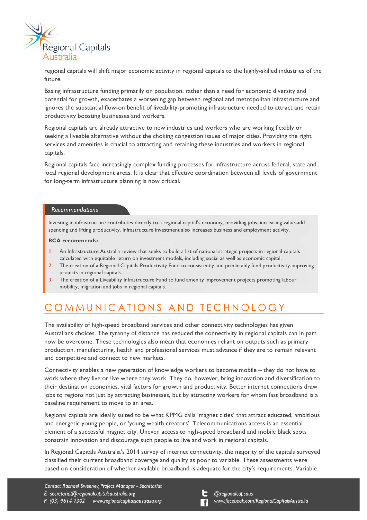

regional capitals will shift major economic activity in regional capitals to the highly-skilled industries of the future.

Basing infrastructure funding primarily on population, rather than a need for economic diversity and potential for growth, exacerbates a worsening gap between regional and metropolitan infrastructure and ignores the substantial flow-on benefit of liveability-promoting infrastructure needed to attract and retain productivity boosting businesses and workers.

Regional capitals are already attractive to new industries and workers who are working flexibly or seeking a liveable alternative without the choking congestion issues of major cities. Providing the right services and amenities is crucial to attracting and retaining these industries and workers in regional capitals.

Regional capitals face increasingly complex funding processes for infrastructure across federal, state and local regional development areas. It is clear that effective coordination between all levels of government for long-term infrastructure planning is now critical.

### *Recommendations*

Investing in infrastructure contributes directly to a regional capital's economy, providing jobs, increasing value-add spending and lifting productivity. Infrastructure investment also increases business and employment activity.

#### **RCA recommends:**

- **1** An Infrastructure Australia review that seeks to build a list of national strategic projects in regional capitals calculated with equitable return on investment models, including social as well as economic capital.
- **2** The creation of a Regional Capitals Productivity Fund to consistently and predictably fund productivity-improving projects in regional capitals.
- **3** The creation of a Liveability Infrastructure Fund to fund amenity improvement projects promoting labour mobility, migration and jobs in regional capitals.

## COMMUNICATIONS AND TECHNOLOGY

The availability of high-speed broadband services and other connectivity technologies has given Australians choices. The tyranny of distance has reduced the connectivity in regional capitals can in part now be overcome. These technologies also mean that economies reliant on outputs such as primary production, manufacturing, health and professional services must advance if they are to remain relevant and competitive and connect to new markets.

Connectivity enables a new generation of knowledge workers to become mobile – they do not have to work where they live or live where they work. They do, however, bring innovation and diversification to their destination economies, vital factors for growth and productivity. Better internet connections draw jobs to regions not just by attracting businesses, but by attracting workers for whom fast broadband is a baseline requirement to move to an area.

Regional capitals are ideally suited to be what KPMG calls 'magnet cities' that attract educated, ambitious and energetic young people, or 'young wealth creators'. Telecommunications access is an essential element of a successful magnet city. Uneven access to high-speed broadband and mobile black spots constrain innovation and discourage such people to live and work in regional capitals.

In Regional Capitals Australia's 2014 survey of internet connectivity, the majority of the capitals surveyed classified their current broadband coverage and quality as poor to variable. These assessments were based on consideration of whether available broadband is adequate for the city's requirements. Variable

Contact Rachael Sweeney, Project Manager - Secretariat E secretariat@regionalcapitalsaustralia.org P (03) 9614 7302 www.regionalcapitalsaustralia.org

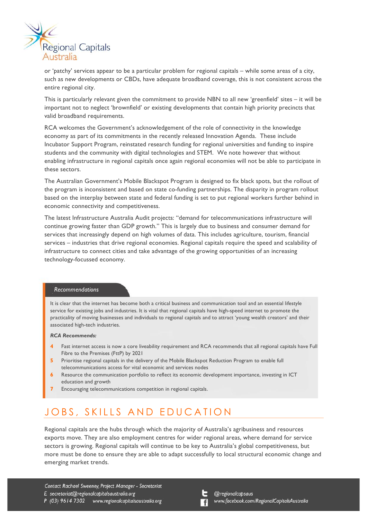

or 'patchy' services appear to be a particular problem for regional capitals – while some areas of a city, such as new developments or CBDs, have adequate broadband coverage, this is not consistent across the entire regional city.

This is particularly relevant given the commitment to provide NBN to all new 'greenfield' sites – it will be important not to neglect 'brownfield' or existing developments that contain high priority precincts that valid broadband requirements.

RCA welcomes the Government's acknowledgement of the role of connectivity in the knowledge economy as part of its commitments in the recently released Innovation Agenda. These include Incubator Support Program, reinstated research funding for regional universities and funding to inspire students and the community with digital technologies and STEM. We note however that without enabling infrastructure in regional capitals once again regional economies will not be able to participate in these sectors.

The Australian Government's Mobile Blackspot Program is designed to fix black spots, but the rollout of the program is inconsistent and based on state co-funding partnerships. The disparity in program rollout based on the interplay between state and federal funding is set to put regional workers further behind in economic connectivity and competitiveness.

The latest Infrastructure Australia Audit projects: "demand for telecommunications infrastructure will continue growing faster than GDP growth." This is largely due to business and consumer demand for services that increasingly depend on high volumes of data. This includes agriculture, tourism, financial services – industries that drive regional economies. Regional capitals require the speed and scalability of infrastructure to connect cities and take advantage of the growing opportunities of an increasing technology-focussed economy.

#### *Recommendations*

It is clear that the internet has become both a critical business and communication tool and an essential lifestyle service for existing jobs and industries. It is vital that regional capitals have high-speed internet to promote the practicality of moving businesses and individuals to regional capitals and to attract 'young wealth creators' and their associated high-tech industries.

#### *RCA Recommends:*

- **4** Fast internet access is now a core liveability requirement and RCA recommends that all regional capitals have Full Fibre to the Premises (FttP) by 2021
- **5** Prioritise regional capitals in the delivery of the Mobile Blackspot Reduction Program to enable full telecommunications access for vital economic and services nodes
- **6** Resource the communication portfolio to reflect its economic development importance, investing in ICT education and growth
- **7** Encouraging telecommunications competition in regional capitals.

### JOBS, SKILLS AND EDUCATION

Regional capitals are the hubs through which the majority of Australia's agribusiness and resources exports move. They are also employment centres for wider regional areas, where demand for service sectors is growing. Regional capitals will continue to be key to Australia's global competitiveness, but more must be done to ensure they are able to adapt successfully to local structural economic change and emerging market trends.

Contact Rachael Sweeney, Project Manager - Secretariat E secretariat@regionalcapitalsaustralia.org P (03) 9614 7302 www.regionalcapitalsaustralia.org